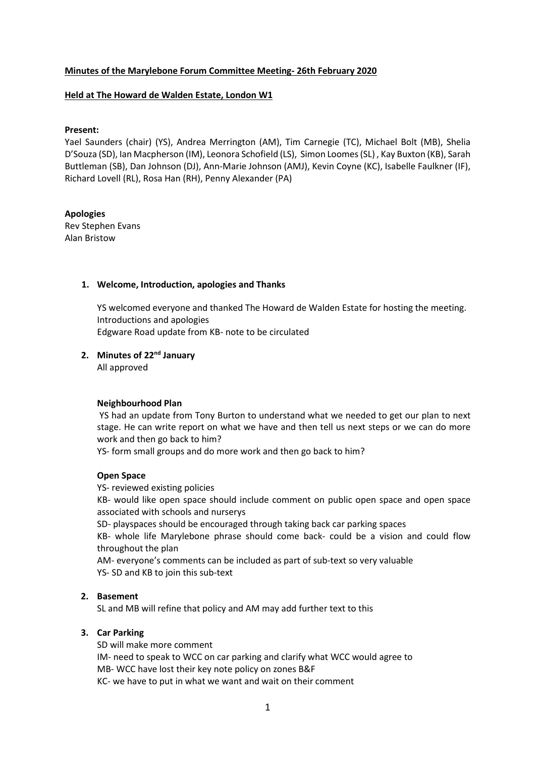## **Minutes of the Marylebone Forum Committee Meeting- 26th February 2020**

#### **Held at The Howard de Walden Estate, London W1**

#### **Present:**

Yael Saunders (chair) (YS), Andrea Merrington (AM), Tim Carnegie (TC), Michael Bolt (MB), Shelia D'Souza (SD), Ian Macpherson (IM), Leonora Schofield (LS), Simon Loomes (SL) , Kay Buxton (KB), Sarah Buttleman (SB), Dan Johnson (DJ), Ann-Marie Johnson (AMJ), Kevin Coyne (KC), Isabelle Faulkner (IF), Richard Lovell (RL), Rosa Han (RH), Penny Alexander (PA)

## **Apologies**

Rev Stephen Evans Alan Bristow

#### **1. Welcome, Introduction, apologies and Thanks**

YS welcomed everyone and thanked The Howard de Walden Estate for hosting the meeting. Introductions and apologies Edgware Road update from KB- note to be circulated

# **2. Minutes of 22nd January**

All approved

#### **Neighbourhood Plan**

 YS had an update from Tony Burton to understand what we needed to get our plan to next stage. He can write report on what we have and then tell us next steps or we can do more work and then go back to him?

YS- form small groups and do more work and then go back to him?

### **Open Space**

YS- reviewed existing policies

KB- would like open space should include comment on public open space and open space associated with schools and nurserys

SD- playspaces should be encouraged through taking back car parking spaces

KB- whole life Marylebone phrase should come back- could be a vision and could flow throughout the plan

AM- everyone's comments can be included as part of sub-text so very valuable YS- SD and KB to join this sub-text

### **2. Basement**

SL and MB will refine that policy and AM may add further text to this

#### **3. Car Parking**

SD will make more comment IM- need to speak to WCC on car parking and clarify what WCC would agree to MB- WCC have lost their key note policy on zones B&F KC- we have to put in what we want and wait on their comment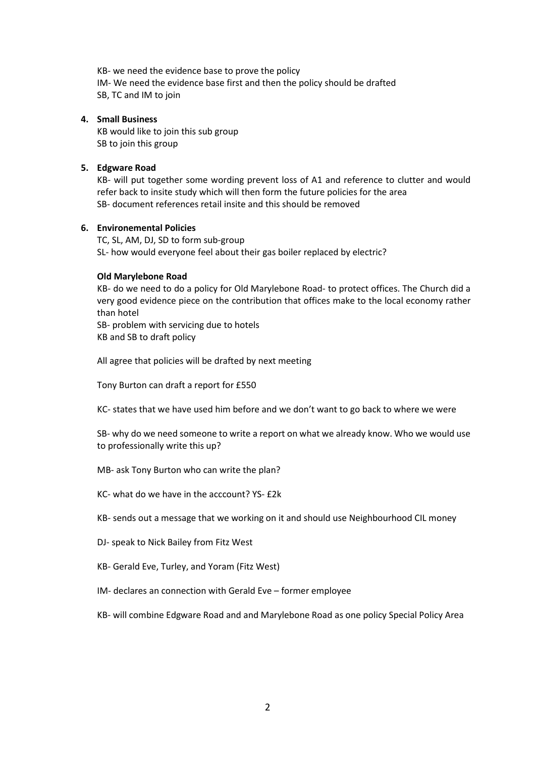KB- we need the evidence base to prove the policy IM- We need the evidence base first and then the policy should be drafted SB, TC and IM to join

#### **4. Small Business**

KB would like to join this sub group SB to join this group

## **5. Edgware Road**

KB- will put together some wording prevent loss of A1 and reference to clutter and would refer back to insite study which will then form the future policies for the area SB- document references retail insite and this should be removed

## **6. Environemental Policies**

TC, SL, AM, DJ, SD to form sub-group SL- how would everyone feel about their gas boiler replaced by electric?

## **Old Marylebone Road**

KB- do we need to do a policy for Old Marylebone Road- to protect offices. The Church did a very good evidence piece on the contribution that offices make to the local economy rather than hotel

SB- problem with servicing due to hotels

KB and SB to draft policy

All agree that policies will be drafted by next meeting

Tony Burton can draft a report for £550

KC- states that we have used him before and we don't want to go back to where we were

SB- why do we need someone to write a report on what we already know. Who we would use to professionally write this up?

- MB- ask Tony Burton who can write the plan?
- KC- what do we have in the acccount? YS- £2k

KB- sends out a message that we working on it and should use Neighbourhood CIL money

- DJ- speak to Nick Bailey from Fitz West
- KB- Gerald Eve, Turley, and Yoram (Fitz West)
- IM- declares an connection with Gerald Eve former employee
- KB- will combine Edgware Road and and Marylebone Road as one policy Special Policy Area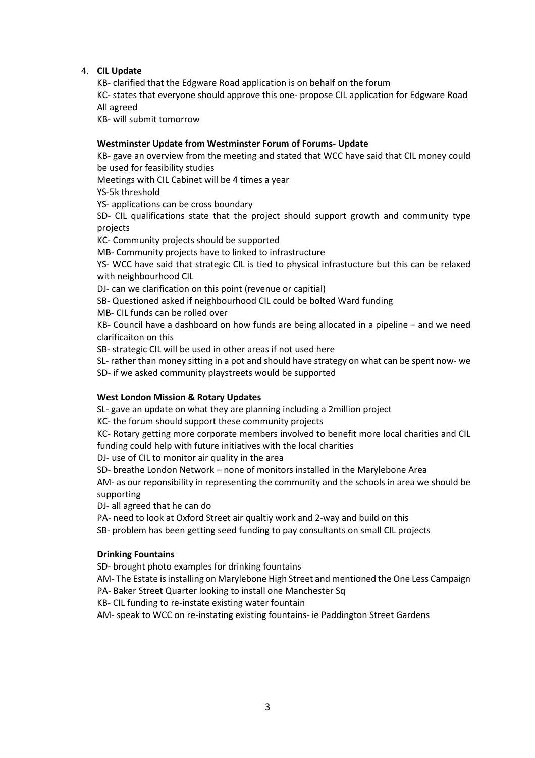## 4. **CIL Update**

KB- clarified that the Edgware Road application is on behalf on the forum

KC- states that everyone should approve this one- propose CIL application for Edgware Road All agreed

KB- will submit tomorrow

## **Westminster Update from Westminster Forum of Forums- Update**

KB- gave an overview from the meeting and stated that WCC have said that CIL money could be used for feasibility studies

Meetings with CIL Cabinet will be 4 times a year

YS-5k threshold

YS- applications can be cross boundary

SD- CIL qualifications state that the project should support growth and community type projects

KC- Community projects should be supported

MB- Community projects have to linked to infrastructure

YS- WCC have said that strategic CIL is tied to physical infrastucture but this can be relaxed with neighbourhood CIL

DJ- can we clarification on this point (revenue or capitial)

SB- Questioned asked if neighbourhood CIL could be bolted Ward funding

MB- CIL funds can be rolled over

KB- Council have a dashboard on how funds are being allocated in a pipeline – and we need clarificaiton on this

SB- strategic CIL will be used in other areas if not used here

SL- rather than money sitting in a pot and should have strategy on what can be spent now- we SD- if we asked community playstreets would be supported

## **West London Mission & Rotary Updates**

SL- gave an update on what they are planning including a 2million project

KC- the forum should support these community projects

KC- Rotary getting more corporate members involved to benefit more local charities and CIL funding could help with future initiatives with the local charities

DJ- use of CIL to monitor air quality in the area

SD- breathe London Network – none of monitors installed in the Marylebone Area

AM- as our reponsibility in representing the community and the schools in area we should be supporting

DJ- all agreed that he can do

PA- need to look at Oxford Street air qualtiy work and 2-way and build on this

SB- problem has been getting seed funding to pay consultants on small CIL projects

## **Drinking Fountains**

SD- brought photo examples for drinking fountains

AM- The Estate is installing on Marylebone High Street and mentioned the One Less Campaign

PA- Baker Street Quarter looking to install one Manchester Sq

KB- CIL funding to re-instate existing water fountain

AM- speak to WCC on re-instating existing fountains- ie Paddington Street Gardens